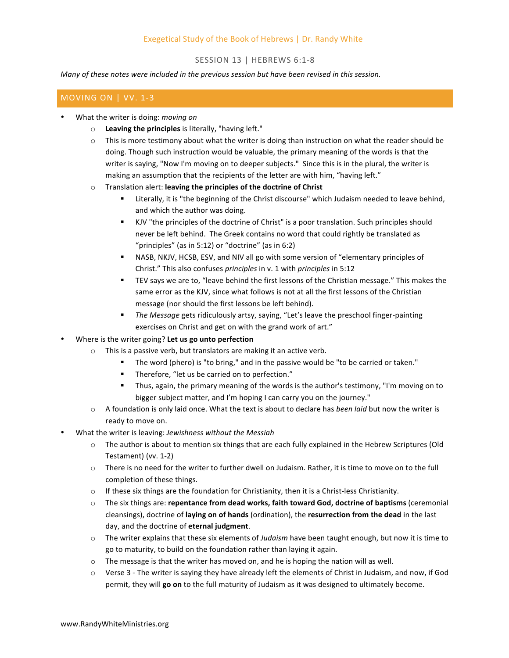# Exegetical Study of the Book of Hebrews | Dr. Randy White

### SESSION 13 | HEBREWS 6:1-8

*Many* of these notes were included in the previous session but have been revised in this session.

## MOVING ON | VV. 1-3

- What the writer is doing: *moving on* 
	- o Leaving the principles is literally, "having left."
	- $\circ$  This is more testimony about what the writer is doing than instruction on what the reader should be doing. Though such instruction would be valuable, the primary meaning of the words is that the writer is saying, "Now I'm moving on to deeper subjects." Since this is in the plural, the writer is making an assumption that the recipients of the letter are with him, "having left."
	- o Translation alert: leaving the principles of the doctrine of Christ
		- Literally, it is "the beginning of the Christ discourse" which Judaism needed to leave behind, and which the author was doing.
		- KJV "the principles of the doctrine of Christ" is a poor translation. Such principles should never be left behind. The Greek contains no word that could rightly be translated as "principles" (as in 5:12) or "doctrine" (as in 6:2)
		- NASB, NKJV, HCSB, ESV, and NIV all go with some version of "elementary principles of Christ." This also confuses *principles* in v. 1 with *principles* in 5:12
		- TEV says we are to, "leave behind the first lessons of the Christian message." This makes the same error as the KJV, since what follows is not at all the first lessons of the Christian message (nor should the first lessons be left behind).
		- The Message gets ridiculously artsy, saying, "Let's leave the preschool finger-painting exercises on Christ and get on with the grand work of art."
- Where is the writer going? Let us go unto perfection
	- This is a passive verb, but translators are making it an active verb.
		- The word (phero) is "to bring," and in the passive would be "to be carried or taken."
		- Therefore, "let us be carried on to perfection."
		- **•** Thus, again, the primary meaning of the words is the author's testimony, "I'm moving on to bigger subject matter, and I'm hoping I can carry you on the journey."
	- A foundation is only laid once. What the text is about to declare has *been laid* but now the writer is ready to move on.
- What the writer is leaving: *Jewishness without the Messiah* 
	- $\circ$  The author is about to mention six things that are each fully explained in the Hebrew Scriptures (Old Testament) (vv. 1-2)
	- $\circ$  There is no need for the writer to further dwell on Judaism. Rather, it is time to move on to the full completion of these things.
	- $\circ$  If these six things are the foundation for Christianity, then it is a Christ-less Christianity.
	- $\circ$  The six things are: **repentance from dead works, faith toward God, doctrine of baptisms** (ceremonial cleansings), doctrine of laying on of hands (ordination), the resurrection from the dead in the last day, and the doctrine of eternal judgment.
	- o The writer explains that these six elements of *Judaism* have been taught enough, but now it is time to go to maturity, to build on the foundation rather than laying it again.
	- $\circ$  The message is that the writer has moved on, and he is hoping the nation will as well.
	- $\circ$  Verse 3 The writer is saying they have already left the elements of Christ in Judaism, and now, if God permit, they will go on to the full maturity of Judaism as it was designed to ultimately become.